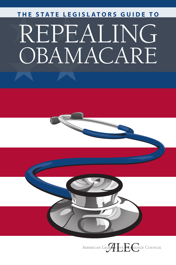# OBAMACARE  $\begin{array}{l} \text{THE STATE LEGISLATIONS GUIDE TO} \ \text{REPEALING} \end{array}$

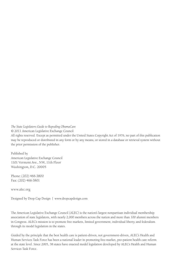*The State Legislators Guide to Repealing ObamaCare*

© 2011 American Legislative Exchange Council

All rights reserved. Except as permitted under the United States Copyright Act of 1976, no part of this publication may be reproduced or distributed in any form or by any means, or stored in a database or retrieval system without the prior permission of the publisher.

Published by American Legislative Exchange Council 1101 Vermont Ave., NW, 11th Floor Washington, D.C. 20005

Phone: (202) 466-3800 Fax: (202) 466-3801

www.alec.org

Designed by Drop Cap Design | www.dropcapdesign.com

The American Legislative Exchange Council (ALEC) is the nation's largest nonpartisan individual membership association of state legislators, with nearly 2,000 members across the nation and more than 100 alumni members in Congress. ALEC's mission is to promote free markets, limited government, individual liberty, and federalism through its model legislation in the states.

Guided by the principle that the best health care is patient-driven, not government-driven, ALEC's Health and Human Services Task Force has been a national leader in promoting free-market, pro-patient health care reform at the state level. Since 2005, 38 states have enacted model legislation developed by ALEC's Health and Human Services Task Force.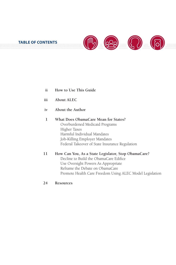

- **How to Use This Guide ii**
- **About ALEC iii**
- **About the Author iv**

#### **What Does ObamaCare Mean for States?** Overburdened Medicaid Programs Higher Taxes Harmful Individual Mandates Job-Killing Employer Mandates Federal Takeover of State Insurance Regulation **1**

- **How Can You, As a State Legislator, Stop ObamaCare?** Decline to Build the ObamaCare Edifice Use Oversight Powers As Appropriate Reframe the Debate on ObamaCare Promote Health Care Freedom Using ALEC Model Legislation **11**
- **Resources 24**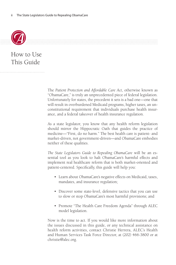

How to Use This Guide

> The *Patient Protection and Affordable Care Act*, otherwise known as "ObamaCare," is truly an unprecedented piece of federal legislation. Unfortunately for states, the precedent it sets is a bad one—one that will result in overburdened Medicaid programs, higher taxes, an unconstitutional requirement that individuals purchase health insurance, and a federal takeover of health insurance regulation.

> As a state legislator, you know that any health reform legislation should mirror the Hippocratic Oath that guides the practice of medicine—"First, do no harm." The best health care is patient- and market-driven, not government-driven—and ObamaCare embodies neither of these qualities.

> *The State Legislators Guide to Repealing ObamaCare* will be an essential tool as you look to halt ObamaCare's harmful effects and implement real healthcare reform that is both market-oriented and patient-centered. Specifically, this guide will help you:

- Learn about ObamaCare's negative effects on Medicaid, taxes, mandates, and insurance regulation;
- Discover some state-level, defensive tactics that you can use to slow or stop ObamaCare's most harmful provisions; and
- Promote "The Health Care Freedom Agenda" through ALEC model legislation.

Now is the time to act. If you would like more information about the issues discussed in this guide, or any technical assistance on health reform activities, contact Christie Herrera, ALEC's Health and Human Services Task Force Director, at (202) 466-3800 or at christie@alec.org.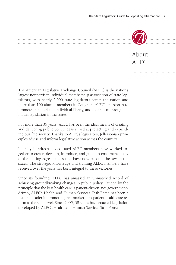

### About ALEC

The American Legislative Exchange Council (ALEC) is the nation's largest nonpartisan individual membership association of state legislators, with nearly 2,000 state legislators across the nation and more than 100 alumni members in Congress. ALEC's mission is to promote free markets, individual liberty, and federalism through its model legislation in the states.

For more than 35 years, ALEC has been the ideal means of creating and delivering public policy ideas aimed at protecting and expanding our free society. Thanks to ALEC's legislators, Jeffersonian principles advise and inform legislative action across the country.

Literally hundreds of dedicated ALEC members have worked together to create, develop, introduce, and guide to enactment many of the cutting-edge policies that have now become the law in the states. The strategic knowledge and training ALEC members have received over the years has been integral to these victories.

Since its founding, ALEC has amassed an unmatched record of achieving groundbreaking changes in public policy. Guided by the principle that the best health care is patient-driven, not governmentdriven, ALEC's Health and Human Services Task Force has been a national leader in promoting free-market, pro-patient health care reform at the state level. Since 2005, 38 states have enacted legislation developed by ALEC's Health and Human Services Task Force.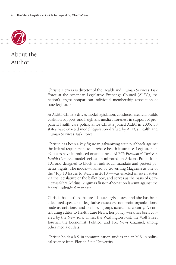

About the Author

> Christie Herrera is director of the Health and Human Services Task Force at the American Legislative Exchange Council (ALEC), the nation's largest nonpartisan individual membership association of state legislators.

> At ALEC, Christie drives model legislation, conducts research, builds coalition support, and heightens media awareness in support of propatient health care policy. Since Christie joined ALEC in 2005, 38 states have enacted model legislation drafted by ALEC's Health and Human Services Task Force.

> Christie has been a key figure in galvanizing state pushback against the federal requirement to purchase health insurance. Legislators in 42 states have introduced or announced ALEC's *Freedom of Choice in Health Care Act*, model legislation mirrored on Arizona Proposition 101 and designed to block an individual mandate and protect patients' rights. The model—named by Governing Magazine as one of the "Top 10 Issues to Watch in 2010"—was enacted in seven states via the legislature or the ballot box, and serves as the basis of *Commonwealth v. Sebelius*, Virginia's first-in-the-nation lawsuit against the federal individual mandate.

> Christie has testified before 11 state legislatures, and she has been a featured speaker to legislative caucuses, nonprofit organizations, trade associations, and business groups across the country. A contributing editor to Health Care News, her policy work has been covered by the New York Times, the Washington Post, the Wall Street Journal, the Economist, Politico, and Fox News Channel, among other media outlets.

> Christie holds a B.S. in communication studies and an M.S. in political science from Florida State University.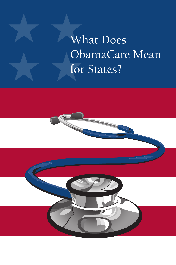# ★ ★ **What Does** ObamaCare Mean for States?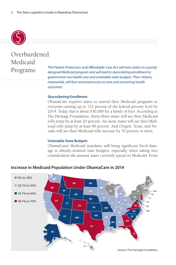

# Overburdened Medicaid

*The Patient Protection and Affordable Care Act will mire states in a poorly-*<br> *Aesianed Medicaid program and will lead to skyrocketing enrollment in designed Medicaid program and will lead to skyrocketing enrollment in government-run health care and untenable state budgets. Their citizens, meanwhile, will face restricted access to care and worsening health outcomes.*

#### **Skyrocketing Enrollment**

ObamaCare requires states to extend their Medicaid programs to everyone earning up to 133 percent of the federal poverty level by 2014. Today that is about \$30,000 for a family of four. According to The Heritage Foundation, thirty-three states will see their Medicaid rolls jump by at least 20 percent. Six more states will see their Medicaid rolls jump by at least 40 percent. And Oregon, Texas, and Nevada will see their Medicaid rolls increase by 50 percent or more.

#### **Untenable State Budgets**

ObamaCare's Medicaid mandates will bring significant fiscal damage to already-strained state budgets, especially when taking into consideration the amount states currently spend on Medicaid. From

#### **Increase in Medicaid Population Under ObamaCare in 2014**

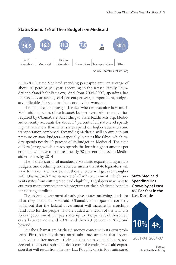

#### **States Spend 1/6 of Their Budgets on Medicaid**

Source: StateHealthFacts.org

2001-2004, state Medicaid spending per capita grew an average of about 10 percent per year, according to the Kaiser Family Foundation's StateHealthFacts.org. And from 2004-2007, spending has increased by an average of 4 percent per year, compounding budgetary difficulties for states as the economy has worsened.

The state fiscal picture gets bleaker when we examine how much Medicaid consumes of each state's budget even prior to expansion required by ObamaCare. According to StateHealthFacts.org, Medicaid currently accounts for about 17 percent of all state-level spending. This is more than what states spend on higher education and transportation combined. Expanding Medicaid will continue to put pressure on state budgets—especially in states like Ohio, which today spends nearly 40 percent of its budget on Medicaid. The state of New Jersey, which already spends the fourth-highest amount per enrollee, will have to endure a nearly 50 percent increase in Medicaid enrollees by 2014.

The "perfect storm" of mandatory Medicaid expansion, tight state budgets, and declining tax revenues means that state legislators will have to make hard choices. But those choices will get even tougher with ObamaCare's "maintenance of effort" requirement, which prevents states from cutting Medicaid eligibility. Legislators may have to cut even more from vulnerable programs or slash Medicaid benefits for existing enrollees.

The federal government already gives states matching funds for what they spend on Medicaid. ObamaCare's supporters correctly point out that the federal government will increase its matching fund ratio for the people who are added as a result of the law. The federal government will pay states up to 100 percent of those new costs between now and 2020, and then 90 percent in 2020 and beyond.

But the ObamaCare Medicaid money comes with its own problems. First, state legislators must take into account that federal money is not free money—their constituents pay federal taxes, too. Second, the federal subsidies don't cover the entire Medicaid expansion that will result from the new law. Roughly one in four uninsured

**State Medicaid Spending Has Grown by at Least 4% Per Year in the Last Decade**



Source: StateHealthFacts.org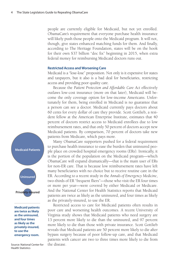people are currently eligible for Medicaid, but not yet enrolled. ObamaCare's requirement that everyone purchase health insurance will likely push those people onto the Medicaid program. It will not, though, give states enhanced matching funds for them. And finally, according to The Heritage Foundation, states will be on the hook for their own \$37 billion "doc fix" beginning in 2015, when extra federal money for reimbursing Medicaid doctors runs out.

#### **Restricted Access and Worsening Care**

Medicaid is a "lose-lose" proposition. Not only is it expensive for states and taxpayers, but it also is a bad deal for beneficiaries, restricting access and providing poor quality care.

Because the *Patient Protection and Affordable Care Act* effectively outlaws low-cost insurance (more on that later), Medicaid will become the only coverage option for low-income Americans. Unfortunately for them, being enrolled in Medicaid is no guarantee that a person can see a doctor. Medicaid currently pays doctors about 60 cents for every dollar of care they provide. Scott Gottlieb, a resident fellow at the American Enterprise Institute, estimates that 40 percent of doctors restrict access to Medicaid enrollees due to low reimbursement rates, and that only 50 percent of doctors accept new Medicaid patients. By comparison, 70 percent of doctors take new patients from Medicare, which pays more.

Many ObamaCare supporters pushed for a federal requirement to purchase health insurance to ease the burden that uninsured people place on crowded hospital emergency rooms (ERs). Ironically, it is the portion of the population on the Medicaid program—which ObamaCare will expand dramatically—that is the main user of ERs for non-ER care. That is because low reimbursement rates have left many beneficiaries with no choice but to receive routine care in the ER. According to a recent study in the *Annals of Emergency Medicine*, two-thirds of ER "frequent fliers"—those who visit the ER four times or more per year—were covered by either Medicaid or Medicare. And the National Center for Health Statistics reports that Medicaid patients are twice as likely as the uninsured, and four times as likely as the privately-insured, to use the ER.

Restricted access to care for Medicaid patients often results in poor care and worsening health outcomes. A recent University of Virginia study shows that Medicaid patients who need surgery are 13 percent more likely to die than the uninsured, and 97 percent more likely to die than those with private insurance. Scott Gottlieb reveals that Medicaid patients are 50 percent more likely to die after bypass surgery because of poor follow-up care, and that Medicaid patients with cancer are two to three times more likely to die from the disease.

**Medicaid Patients**



**Medicaid patients are twice as likely as the uninsured, and four times as likely as the privately-insured, to use the emergency room.**

Source: National Center for Health Statistics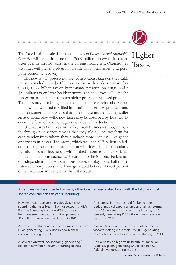

# Higher Taxes

The Cato Institute calculates that the *Patient Protection and Affordable Care Act* will result in more than \$669 billion in new or increased taxes over its first 10 years. In the current fiscal crisis, ObamaCare's tax hikes will prevent job growth, stifle small businesses, and postpone economic recovery.

The new law imposes a number of new excise taxes on the health industry, including a \$20 billion tax on medical device manufacturers, a \$22 billion tax on brand-name prescription drugs, and a \$60 billion tax on large health insurers. The new taxes will likely be passed on to consumers through higher prices for the taxed products. The taxes may also bring about reductions in research and development, which will lead to stifled innovation, fewer new products, and less consumer choice. States that house these industries may suffer an additional blow—the new taxes may be absorbed by local workers in the form of layoffs, wage cuts, or benefit reductions.

ObamaCare's tax hikes will affect small businesses, too, primarily through a new requirement that they file a 1099 tax form for each vendor from whom they purchase more than \$600 of goods or services in a year. The move, which will add \$17 billion to federal coffers, would be a burden for any business, but is particularly harmful for small businesses with limited resources and experience in dealing with bureaucracies. According to the National Federation of Independent Business, small businesses employ about half of private-sector employees, and have generated between 60-80 percent of net new jobs annually over the last decade.

#### Americans will be subjected to many other ObamaCare-related taxes, with the following costs scored over the first ten years, including:

New restrictions on some previously tax-free spending that uses Health Savings Accounts (HSAs), Flexible Spending Accounts (FSAs), or Health Reimbursement Accounts (HRAs), generating \$1.4 billion in new revenue starting in 2011;

An increase in the penalty for early withdraws from HSAs, generating \$1.4 billion in new federal revenue starting in 2011;

A new cap on total FSA spending, generating \$13 billion in new federal revenue starting in 2013;

An increase in the threshold for being able to deduct medical expenses on personal tax returns, from 7.5 percent of adjusted gross income, to 10 percent, generating \$15.2 billion in new revenue starting in 2013;

A new 3.8 percent tax on investment income for workers making more than \$250,000, generating \$123 billion in new federal revenue starting in 2013;

An excise tax on high-value health insurance, or "Cadillac," plans, generating \$42 billion in new federal revenue starting in 2018.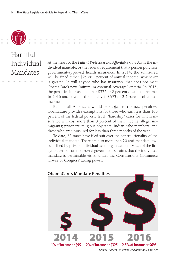

## Harmful Individual Mandates

At the heart of the *Patient Protection and Affordable Care Act* is the individual mandate, or the federal requirement that a person purchase government-approved health insurance. In 2014, the uninsured will be fined either \$95 or 1 percent of annual income, whichever is greater. So will anyone who has insurance that does not meet ObamaCare's new "minimum essential coverage" criteria. In 2015, the penalties increase to either \$325 or 2 percent of annual income. In 2016 and beyond, the penalty is \$695 or 2.5 percent of annual income.

But not all Americans would be subject to the new penalties. ObamaCare provides exemptions for those who earn less than 100 percent of the federal poverty level; "hardship" cases for whom insurance will cost more than 8 percent of their income; illegal immigrants; prisoners; religious objectors; Indian tribe members; and those who are uninsured for less than three months of the year.

To date, 22 states have filed suit over the constitutionality of the individual mandate. There are also more than 20 anti-mandate lawsuits filed by private individuals and organizations. Much of the litigation centers on the federal government's claims that the individual mandate is permissible either under the Constitution's Commerce Clause or Congress' taxing power.

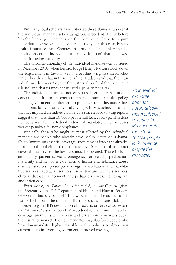But many legal scholars have criticized those claims and say that the individual mandate sets a dangerous precedent. Never before has the federal government used the Commerce Clause to require individuals to engage in an economic activity—in this case, buying health insurance. And Congress has never before implemented a penalty on certain individuals and called it a "tax" that is allowed under its taxing authority.

The unconstitutionality of the individual mandate was bolstered in December 2010, when District Judge Henry Hudson struck down the requirement in *Commonwealth v. Sebelius*, Virginia's first-in-thenation healthcare lawsuit. In the ruling, Hudson said that the individual mandate was "beyond the historical reach of the Commerce Clause" and that its fines constituted a penalty, not a tax.

The individual mandate not only raises serious constitutional concerns, but it also presents a number of issues for health policy. First, a government requirement to purchase health insurance does not automatically mean universal coverage. In Massachusetts, a state that has imposed an individual mandate since 2006, varying reports suggest that more than 167,000 people still lack coverage. This does not bode well for the federal individual mandate, which imposes weaker penalties for non-compliance.

Ironically, those who might be most affected by the individual mandate are people who already have health insurance. Obama-Care's "minimum essential coverage" requirement forces the alreadyinsured to drop their current insurance by 2014 if the plans do not cover all the services the law says must be covered. These include: ambulatory patient services; emergency services; hospitalization; maternity and newborn care; mental health and substance abuse disorder services; prescription drugs, rehabilitative and habilitative services; laboratory services; preventive and wellness services; chronic disease management; and pediatric services, including oral and vision care.

Even worse, the *Patient Protection and Affordable Care Act* gives the Secretary of the U.S. Department of Health and Human Services (HHS) the final say over which new benefits will be added to this list—which opens the door to a flurry of special-interest lobbying in order to gain HHS designation of products or services as "essential." As more "essential benefits" are added to the minimum level of coverage, premiums will increase and price more Americans out of the insurance market. The new mandates may also force people who have low-mandate, high-deductible health policies to drop their current plans in favor of government-approved coverage.

*An individual mandate does not automatically mean universal coverage. In Massachusetts, more than 167,000 people lack coverage despite the mandate.*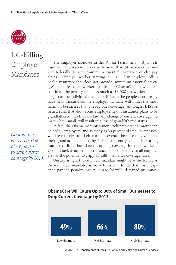

# Job-Killing Employer Mandates

*ObamaCare will cause 51% of employers to drop current coverage by 2013.*

The employer mandate in the *Patient Protection and Affordable Care Act* requires employers with more than 50 workers to provide federally dictated "minimum essential coverage," or else pay a \$2,000 fine per worker, starting in 2014. If an employer offers health insurance that does not provide "minimum essential coverage" and at least one worker qualifies for ObamaCare's new federal subsidies, the penalty can be as much as \$3,000 per worker.

Just as the individual mandate will harm the people who already have health insurance, the employer mandate will inflict the most harm on businesses that already offer coverage. Although HHS has issued rules that allow some employee health insurance plans to be grandfathered into the new law, any change to current coverage, no matter how small, will result in a loss of grandfathered status.

In fact, the Obama Administration itself predicts that more than half of all employers, and as many as 80 percent of small businesses, will have to give up their current coverage because they will lose their grandfathered status by 2013. In recent years, an increasing number of firms have been dropping coverage for their workers. ObamaCare's treatment of insurance plans offered by small employers has the potential to cripple health insurance coverage rates.

Unsurprisingly, the employer mandate might be as ineffective as the individual mandate, as many firms will decide that it is cheaper to pay the penalty than purchase federally designed insurance.



**ObamaCare Will Cause Up to 80% of Small Businesses to Drop Current Coverage by 2013**

Source: U.S. Departments of Treasury, Labor, and Health and Human Services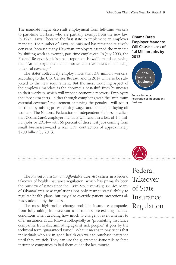The mandate might also shift employment from full-time workers to part-time workers, who are partially exempt from the new law. In 1974 Hawaii became the first state to implement an employer mandate. The number of Hawaii's uninsured has remained relatively constant, because many Hawaiian employers escaped the mandate by shifting work to exempt, part-time employees. In July 2009, the Federal Reserve Bank issued a report on Hawaii's mandate, saying that "An employer mandate is not an effective means of achieving universal coverage."

The states collectively employ more than 3.8 million workers, according to the U.S. Census Bureau, and in 2014 will also be subjected to the new requirement. But the most troubling aspect of the employer mandate is the enormous cost-shift from businesses to their workers, which will impede economic recovery. Employers that face extra costs—either through complying with the "minimum essential coverage" requirement or paying the penalty—will adjust for them by raising prices, cutting wages and benefits, or laying off workers. The National Federation of Independent Business predicts that ObamaCare's employer mandate will result in a loss of 1.6 million jobs by 2014—with 66 percent of those lost jobs coming from small businesses—and a real GDP contraction of approximately \$200 billion by 2013.





Source: National Federation of Independent Business



The *Patient Protection and Affordable Care Act* ushers in a federal takeover of health insurance regulation, which has primarily been the purview of states since the 1945 *McCarran-Ferguson Act*. Many of ObamaCare's new regulations not only restrict states' ability to regulate health plans, but they also override patient protections already adopted by the states.

The most high-profile change prohibits insurance companies from fully taking into account a customer's pre-existing medical conditions when deciding how much to charge, or even whether to offer insurance at all. Known colloquially as "prohibiting insurance companies from discriminating against sick people," it goes by the technical term "guaranteed issue." What it means in practice is that individuals who are in good health can wait to purchase insurance until they are sick. They can use the guaranteed-issue rule to force insurance companies to bail them out at the last minute.

## Federal Takeover of State Insurance Regulation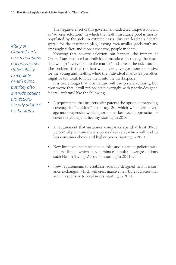*Many of ObamaCare's new regulations not only restrict states' ability to regulate health plans, but they also override patient protections already adopted by the states.*

The negative effect of this government-aided technique is known as "adverse selection," in which the health insurance pool is mostly populated by the sick. In extreme cases, this can lead to a "death spiral" for the insurance plan, leaving ever-smaller pools with increasingly sicker, and more expensive, people in them.

Knowing that adverse selection can happen, the framers of ObamaCare instituted an individual mandate. In theory, the mandate will get "everyone into the market" and spread the risk around. The problem is that the ban will make coverage more expensive for the young and healthy, while the individual mandate's penalties might be too weak to force them into the marketplace.

It is bad enough that ObamaCare will usurp state authority, but even worse that it will replace state oversight with poorly-designed federal "reforms" like the following:

- A requirement that insurers offer parents the option of extending coverage for "children" up to age 26, which will make coverage more expensive while ignoring market-based approaches to cover the young and healthy, starting in 2010;
- A requirement that insurance companies spend at least 80-85 percent of premium dollars on medical care, which will lead to less consumer choice and higher prices, starting in 2011;
- • New limits on insurance deductibles and a ban on policies with lifetime limits, which may eliminate popular coverage options such Health Savings Accounts, starting in 2011; and
- New requirements to establish federally designed health insurance exchanges, which will erect massive new bureaucracies that are unresponsive to local needs, starting in 2014.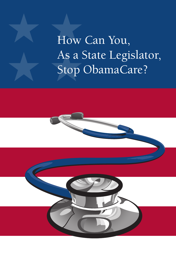As a ! How Can You, As a State Legislator, Stop ObamaCare?

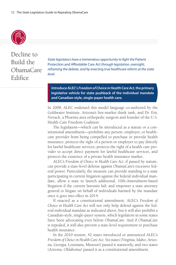

Decline to Build the ObamaCare Edifice

*State legislators have a tremendous opportunity to fight the* Patient Protection and Affordable Care Act *through legislation, oversight, reframing the debate, and by enacting true healthcare reform at the state level.* 

**Introduce ALEC's** *Freedom of Choice in Health Care Act,* **the primary legislative vehicle for state pushback of the individual mandate and Canadian-style, single-payer health care.**

In 2008, ALEC endorsed this model language co-authored by the Goldwater Institute, Arizona's free-market think tank, and Dr. Eric Novack, a Phoenix-area orthopedic surgeon and founder of the U.S. Health Care Freedom Coalition.

The legislation—which can be introduced as a statute or a constitutional amendment—prohibits any person, employer, or healthcare provider from being compelled to purchase or provide health insurance; protects the right of a person or employer to pay directly for lawful healthcare services; protects the right of a health care provider to accept direct payment for lawful healthcare services, and protects the existence of a private health insurance market.

ALEC's *Freedom of Choice in Health Care Act*, if passed by statute, can provide a state-level defense against ObamaCare's excessive federal power. Particularly, the measure can provide standing to a state participating in current litigation against the federal individual mandate; allow a state to launch additional, 10th-Amendment-based litigation if the current lawsuits fail; and empower a state attorney general to litigate on behalf of individuals harmed by the mandate once it goes into effect in 2014.

If enacted as a constitutional amendment, ALEC's *Freedom of Choice in Health Care Act* will not only help defend against the federal individual mandate as indicated above, but it will also prohibit a Canadian-style, single-payer system, which legislators in some states have been advocating even before ObamaCare. And if ObamaCare is repealed, it will also prevent a state-level requirement to purchase health insurance.

In the 2010 session, 42 states introduced or announced ALEC's *Freedom of Choice in Health Care Act*. Six states (Virginia, Idaho, Arizona, Georgia, Louisiana, Missouri) passed it statutorily, and two states (Arizona, Oklahoma) passed it as a constitutional amendment.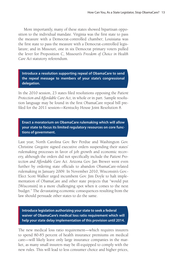More importantly, many of these states showed bipartisan opposition to the individual mandate. Virginia was the first state to pass the measure with a Democrat-controlled chamber; Louisiana was the first state to pass the measure with a Democrat-controlled legislature; and in Missouri, one in six Democrat primary voters pulled the lever for Proposition C, Missouri's *Freedom of Choice in Health Care Act* statutory referendum.

**Introduce a resolution supporting repeal of ObamaCare to send the repeal message to members of your state's congressional delegation.**

In the 2010 session, 23 states filed resolutions opposing the *Patient Protection and Affordable Care Act*, in whole or in part. Sample resolution language may be found in the first ObamaCare repeal bill prefiled for the 2011 session—Kentucky House Joint Resolution 8.

**Enact a moratorium on ObamaCare rulemaking which will allow your state to focus its limited regulatory resources on core functions of government.**

Last year, North Carolina Gov. Bev Perdue and Washington Gov. Christine Gregoire signed executive orders suspending their states' rulemaking processes in favor of job growth and economic recovery, although the orders did not specifically include the *Patient Protection and Affordable Care Act*. Arizona Gov. Jan Brewer went even further by ordering state officials to abandon ObamaCare-related rulemaking in January 2009. In November 2010, Wisconsin's Gov.- Elect Scott Walker urged incumbent Gov. Jim Doyle to halt implementation of ObamaCare and other state projects that "would put [Wisconsin] in a more challenging spot when it comes to the next budget." The devastating economic consequences resulting from the law should persuade other states to do the same.

**Introduce legislation authorizing your state to seek a federal waiver of ObamaCare's medical loss ratio requirement which will help your state delay implementation of this provision until 2014.**

The new medical loss ratio requirement—which requires insurers to spend 80-85 percent of health insurance premiums on medical care—will likely leave only large insurance companies in the market, as many small insurers may be ill-equipped to comply with the new rules. This will lead to less consumer choice and higher prices,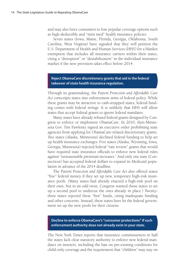and may also force consumers to lose popular coverage options such as high-deductible and "mini med" health insurance policies.

Seven states (Iowa, Maine, Florida, Georgia, Oklahoma, South Carolina, West Virginia) have signaled that they will petition the U.S. Department of Health and Human Services (HHS) for a blanket exemption that includes all insurance carriers within their states, citing a "disruption" or "destabilization" in the individual insurance market if the new provision takes effect before 2014.

#### **Reject ObamaCare discretionary grants that aid in the federal takeover of state health insurance regulation.**

Through its grantmaking, the *Patient Protection and Affordable Care Act* conscripts states into enforcement arms of federal policy. While these grants may be attractive to cash-strapped states, federal funding comes with federal strings. It is unlikely that HHS will allow states that accept federal grants to ignore federal mandates.

Many states have already refused federal grants designed by Congress to enforce or implement ObamaCare. In 2010, then-Minnesota Gov. Tim Pawlenty signed an executive order prohibiting state agencies from applying for ObamaCare-related discretionary grants. Two states (Alaska, Minnesota) declined federal funding to help set up health insurance exchanges. Five states (Alaska, Wyoming, Iowa, Georgia, Minnesota) rejected federal "rate review" grants that would have required state insurance officials to enforce new federal rules against "unreasonable premium increases." And only one state (Connecticut) has accepted federal dollars to expand its Medicaid population in advance of the 2014 deadline.

The *Patient Protection and Affordable Care Act* also offered states "free" federal money if they set up new, temporary high-risk insurance pools. (Many states had already enacted a high-risk pool on their own, but in an odd twist, Congress wanted those states to set up a second pool to undercut the ones already in place.) Twentythree states rejected these "free" funds, citing inadequate funding and other concerns. Instead, these states have let the federal government set up the new pools for their citizens.

#### **Decline to enforce ObamaCare's "consumer protections" if such enforcement authority does not already exist in your state.**

The New York Times reports that insurance commissioners in half the states lack clear statutory authority to enforce new federal mandates on insurers, including the ban on pre-existing conditions for child-only coverage and the requirement that "children" may stay on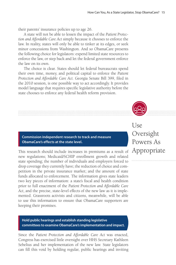their parents' insurance policies up to age 26.

A state will not be able to lessen the impact of the *Patient Protection and Affordable Care Act* simply because it chooses to enforce the law. In reality, states will only be able to tinker at its edges, or seek minor concessions from Washington. And so ObamaCare presents the following choice for legislators: expend limited state resources to enforce the law, or step back and let the federal government enforce the law on its own.

The choice is clear. States should let federal bureaucrats spend their own time, money, and political capital to enforce the *Patient Protection and Affordable Care Act*. Georgia Senate Bill 399, filed in the 2010 session, is one possible way to act accordingly. It provides model language that requires specific legislative authority before the state chooses to enforce any federal health reform provision.



This research should include increases in premiums as a result of new regulations; Medicaid/SCHIP enrollment growth and related state spending; the number of individuals and employers forced to drop coverage they currently have; the reduction of choice and competition in the private insurance market; and the amount of state funds allocated to enforcement. The information gives state leaders two key pieces of information: a state's fiscal and health condition prior to full enactment of the *Patient Protection and Affordable Care Act*, and the precise, state-level effects of the new law as it is implemented. Grassroots activists and citizens, meanwhile, will be able to use this information to ensure that ObamaCare supporters are keeping their promises.

#### **Hold public hearings and establish standing legislative committees to examine ObamaCare's implementation and impact.**

Since the *Patient Protection and Affordable Care Act* was enacted, Congress has exercised little oversight over HHS Secretary Kathleen Sebelius and her implementation of the new law. State legislators can fill this void by holding regular, public hearings and inviting



Appropriate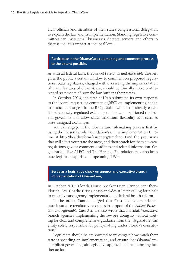HHS officials and members of their state's congressional delegation to explain the law and its implementation. Standing legislative committees can invite small businesses, doctors, seniors, and others to discuss the law's impact at the local level.

#### **Participate in the ObamaCare rulemaking and comment process to the extent possible.**

As with all federal laws, the *Patient Protection and Affordable Care Act*  gives the public a certain window to comment on proposed regulations. State legislators, charged with overseeing the implementation of many features of ObamaCare, should continually make on-therecord statements of how the law burdens their states.

In October 2010, the state of Utah submitted its own response to the federal request for comments (RFC) on implementing health insurance exchanges. In the RFC, Utah—which had already established a loosely-regulated exchange on its own—petitioned the federal government to allow states maximum flexibility as it certifies state-designed exchanges.

You can engage in the ObamaCare rulemaking process first by using the Kaiser Family Foundation's online implementation timeline at http://healthreform.kaiser.org/timeline. Find the provisions that will affect your state the most, and then search for them at www. regulations.gov for comment deadlines and related information. Organizations like ALEC and The Heritage Foundation may also keep state legislators apprised of upcoming RFCs.

#### **Serve as a legislative check on agency and executive branch implementation of ObamaCare.**

In October 2010, Florida House Speaker Dean Cannon sent then-Florida Gov. Charlie Crist a cease-and-desist letter calling for a halt to executive and agency implementation of federal health reform.

In the order, Cannon alleged that Crist had commandeered state insurance regulatory resources in support of the *Patient Protection and Affordable Care Act*. He also wrote that Florida's "executive branch agencies implementing the law are doing so without waiting for clear and comprehensive guidance from the [l]egislature, the entity solely responsible for policymaking under Florida's constitution<sup>"</sup>

Legislators should be empowered to investigate how much their state is spending on implementation, and ensure that ObamaCarecompliant governors gain legislative approval before taking any further action.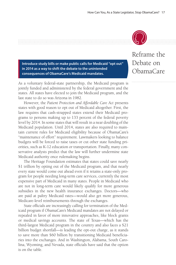

**Introduce study bills or make public calls for Medicaid "opt out" in 2014 as a way to shift the debate to the unintended consequences of ObamaCare's Medicaid mandates.** 

As a voluntary federal-state partnership, the Medicaid program is jointly funded and administered by the federal government and the states. All states have elected to join the Medicaid program, and the last state to do so was Arizona in 1982.

However, the *Patient Protection and Affordable Care Act* presents states with good reason to opt out of Medicaid altogether. First, the law requires that cash-strapped states extend their Medicaid programs to persons making up to 133 percent of the federal poverty level by 2014. In some states that will result in a near doubling of the Medicaid population. Until 2014, states are also required to maintain current rules for Medicaid eligibility because of ObamaCare's "maintenance of effort" requirement. Lawmakers looking to balance budgets will be forced to raise taxes or cut other state funding priorities, such as K-12 education or transportation. Finally, many conservative analysts predict that the law will further undermine state Medicaid authority once rulemaking begins.

The Heritage Foundation estimates that states could save nearly \$1 trillion by opting out of the Medicaid program, and that nearly every state would come out ahead even if it retains a state-only program for people needing long-term care services, currently the most expensive part of Medicaid in many states. People in Medicaid who are not in long-term care would likely qualify for more generous subsidies in the new health insurance exchanges. Doctors—who are paid at paltry Medicaid rates—would also get more generous, Medicare-level reimbursements through the exchanges.

State officials are increasingly calling for termination of the Medicaid program if ObamaCare's Medicaid mandates are not delayed or repealed in favor of more innovative approaches, like block grants or medical savings accounts. The state of Texas—which has the third-largest Medicaid program in the country and also faces a \$21 billion budget shortfall—is leading the opt-out charge, as it stands to save more than \$60 billion by transitioning Medicaid beneficiaries into the exchanges. And in Washington, Alabama, South Carolina, Wyoming, and Nevada, state officials have said that the option is on the table.

Reframe the Debate on ObamaCare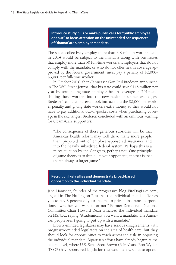**Introduce study bills or make public calls for "public employee opt out" to focus attention on the unintended consequences of ObamaCare's employer mandate.**

The states collectively employ more than 3.8 million workers, and in 2014 would be subject to the mandate along with businesses that employ more than 50 full-time workers. Employers that do not comply with the mandate, or who do not offer health coverage approved by the federal government, must pay a penalty of \$2,000- \$3,000 per full-time worker.

In October 2010, then-Tennessee Gov. Phil Bredesen announced in The Wall Street Journal that his state could save \$146 million per year by terminating state employee health coverage in 2014 and shifting those workers into the new health insurance exchanges. Bredesen's calculations even took into account the \$2,000 per-worker penalty and giving state workers extra money so they would not have to pay additional out-of-pocket costs when purchasing coverage in the exchanges. Bredesen concluded with an ominous warning for ObamaCare supporters:

"The consequence of these generous subsidies will be that America's health reform may well drive many more people than projected out of employer-sponsored insurance and into the heavily subsidized federal system. Perhaps this is a miscalculation by the Congress, perhaps not. One principle of game theory is to think like your opponent; another is that there's always a larger game."

#### **Recruit unlikely allies and demonstrate broad-based opposition to the individual mandate.**

Jane Hamsher, founder of the progressive blog FireDogLake.com, argued in The Huffington Post that the individual mandate "forces you to pay 8 percent of your income to private insurance corporations—whether you want to or not." Former Democratic National Committee Chair Howard Dean criticized the individual mandate on MSNBC, saying "Academically you want a mandate. The American people aren't going to put up with a mandate."

Liberty-minded legislators may have serious disagreements with progressive-minded legislators on the area of health care, but they should look for opportunities to reach across the aisle in opposing the individual mandate. Bipartisan efforts have already begun at the federal level, where U.S. Sens. Scott Brown (R-MA) and Ron Wyden (D-OR) have sponsored legislation that would allow states to opt out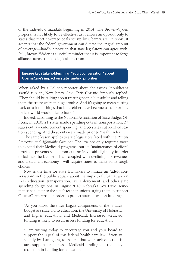of the individual mandate beginning in 2014. The Brown-Wyden proposal is not likely to be effective, as it allows an opt-out only to states that meet coverage goals set up by ObamaCare. In short, it accepts that the federal government can dictate the "right" amount of coverage—hardly a position that state legislators can agree with. Still, Brown-Wyden is a useful reminder that it is important to forge alliances across the ideological spectrum.

**Engage key stakeholders in an "adult conversation" about ObamaCare's impact on state funding priorities.** 

When asked by a Politico reporter about the issues Republicans should run on, New Jersey Gov. Chris Christie famously replied, "They should be talking about treating people like adults and telling them the truth: we're in huge trouble. And it's going to mean cutting back on a lot of things that folks either have become used to or in a perfect world would like to have."

Indeed, according to the National Association of State Budget Officers, in 2010, 21 states made spending cuts in transportation, 37 states cut law enforcement spending, and 35 states cut K-12 education spending. And these cuts were made prior to "health reform."

The same lesson applies to state legislators faced with the *Patient Protection and Affordable Care Act*. The law not only requires states to expand their Medicaid programs, but its "maintenance of effort" provision prevents states from cutting Medicaid eligibility in order to balance the budget. This—coupled with declining tax revenues and a stagnant economy—will require states to make some tough choices.

Now is the time for state lawmakers to initiate an "adult conversation" in the public square about the impact of ObamaCare on K-12 education, transportation, law enforcement, and other state spending obligations. In August 2010, Nebraska Gov. Dave Heineman sent a letter to the state's teacher unions urging them to support ObamaCare's repeal in order to protect state education funding:

"As you know, the three largest components of the [s]tate's budget are state aid to education, the University of Nebraska and higher education, and Medicaid. Increased Medicaid funding is likely to result in less funding for education.

"I am writing today to encourage you and your board to support the repeal of this federal health care law. If you sit silently by, I am going to assume that your lack of action is tacit support for increased Medicaid funding and the likely reduction in funding for education."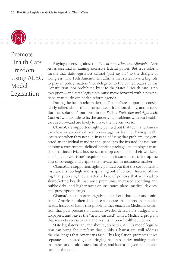

Promote Health Care Freedom Using ALEC Model Legislation

Playing defense against the *Patient Protection and Affordable Care Act* is essential in taming excessive federal power. But true reform means that state legislators cannot "just say no" to the designs of Congress. The 10th Amendment affirms that states have a big role to play in policy matters "not delegated to the United States by the Constitution, nor prohibited by it to the States." Health care is no exception—and state legislators must move forward with a pro-patient, market-driven health reform agenda.

During the health reform debate, ObamaCare supporters consistently talked about three themes: security, affordability, and access. But the "solutions" put forth in the *Patient Protection and Affordable Care Act* will do little to fix the underlying problems with our healthcare sector—and are likely to make them even worse.

ObamaCare supporters rightly pointed out that too many Americans lose or are denied health coverage, or fear not having health insurance when they need it. Instead of fixing that problem, they enacted an individual mandate that penalizes the insured for not purchasing a government-defined benefits package; an employer mandate that incentivizes businesses to drop coverage for their workers; and "guaranteed issue" requirements on insurers that drive up the cost of coverage and cripple the private health insurance market.

ObamaCare supporters rightly pointed out that the cost of health insurance is too high and is spiraling out of control. Instead of fixing that problem, they enacted a host of policies that will lead to skyrocketing health insurance premiums, increased spending and public debt, and higher taxes on insurance plans, medical devices, and prescription drugs.

ObamaCare supporters rightly pointed out that poor and uninsured Americans often lack access to care that meets their health needs. Instead of fixing that problem, they enacted a Medicaid expansion that puts pressure on already-overburdened state budgets and taxpayers, and leaves the "newly-insured" with a Medicaid program that restricts access to care and results in poor health outcomes.

State legislators can, and should, do better. ALEC's model legislation can bring about reform that, unlike ObamaCare, will address the challenges that Americans face. This legislation promotes three separate but related goals: bringing health security, making health insurance and health care affordable, and increasing access to health care for the poor.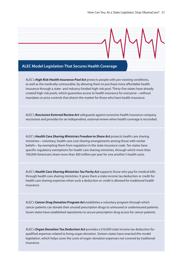

ALEC's *High Risk Health Insurance Pool Act* protects people with pre-existing conditions, as well as the medically-uninsurable, by allowing them to purchase more affordable health insurance through a state- and industry-funded high-risk pool. Thirty-five states have already created high-risk pools, which guarantee access to health insurance for everyone—without mandates or price controls that distort the market for those who have health insurance.

ALEC's *Rescission External Review Act* safeguards against excessive health insurance company rescissions and provides for an independent, external review when health coverage is rescinded.

ALEC's *Health Care Sharing Ministries Freedom to Share Act* protects health care sharing ministries—voluntary, health care cost-sharing arrangements among those with similar beliefs—by exempting them from regulation in the state insurance code. Ten states have specific regulatory exemptions for health care sharing ministries, through which more than 100,000 Americans share more than \$60 million per year for one another's health costs.

ALEC's *Health Care Sharing Ministries Tax Parity Act* supports those who pay for medical bills through health care sharing ministries. It gives them a state income tax deduction or credit for health care sharing expenses when such a deduction or credit is allowed for traditional health insurance.

ALEC's *Cancer Drug Donation Program Act* establishes a voluntary program through which cancer patients can donate their unused prescription drugs to uninsured or underinsured patients. Seven states have established repositories to secure prescription drug access for cancer patients.

ALEC's *Organ Donation Tax Deduction Act* provides a \$10,000 state income tax deduction for qualified expenses related to living organ donation. Sixteen states have enacted this model legislation, which helps cover the costs of organ-donation expenses not covered by traditional insurance.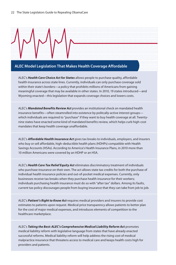

ALEC's *Health Care Choice Act for States* allows people to purchase quality, affordable health insurance across state lines. Currently, individuals can only purchase coverage sold within their state's borders—a policy that prohibits millions of Americans from gaining meaningful coverage that may be available in other states. In 2010, 19 states introduced—and Wyoming enacted—this legislation that expands coverage choices and lowers costs.

ALEC's *Mandated Benefits Review Act* provides an institutional check on mandated health insurance benefits—often steamrolled into existence by politcally-active interest groups which individuals are required to "purchase" if they want to buy health coverage at all. Twentynine states have enacted some kind of mandated benefits review, which helps curb high-cost mandates that keep health coverage unaffordable.

ALEC's *Affordable Health Insurance Act* gives tax breaks to individuals, employers, and insurers who buy or sell affordable, high-deductible health plans (HDHPs) compatible with Health Savings Accounts (HSAs). According to America's Health Insurance Plans, in 2010 more than 10 million Americans were covered by an HDHP or an HSA.

ALEC's *Health Care Tax Relief Equity Act* eliminates discriminatory treatment of individuals who purchase insurance on their own. The act allows state tax credits for both the purchase of individual health insurance policies and out-of-pocket medical expenses. Currently, only businesses receive tax breaks when they purchase health insurance for their workers; individuals purchasing health insurance must do so with "after tax" dollars. Among its faults, current tax policy discourages people from buying insurance that they can take from job to job.

ALEC's *Patient's Right to Know Act* requires medical providers and insurers to provide cost estimates to patients upon request. Medical price transparency allows patients to better plan for the cost of major medical expenses, and introduces elements of competition to the healthcare marketplace.

ALEC's *Taking the Best: ALEC's Comprehensive Medical Liability Reform Act* promotes medical liability reform with legislative language from states that have already enacted successful reforms. Medical liability reform will help address the rising cost of medical malpractice insurance that threatens access to medical care and keeps health costs high for providers and patients.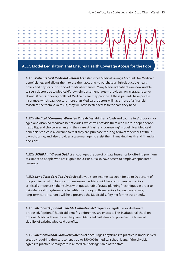

#### **ALEC Model Legislation That Ensures Health Coverage Access for the Poor**

ALEC's *Patients First Medicaid Reform Act* establishes Medical Savings Accounts for Medicaid beneficiaries, and allows them to use their accounts to purchase a high-deductible health policy and pay for out-of-pocket medical expenses. Many Medicaid patients are now unable to see a doctor due to Medicaid's low reimbursement rates—providers, on average, receive about 60 cents for every dollar of Medicaid care they provide. If these patients have private insurance, which pays doctors more than Medicaid, doctors will have more of a financial reason to see them. As a result, they will have better access to the care they need.

ALEC's *Medicaid Consumer-Directed Care Act* establishes a "cash and counseling" program for aged and disabled Medicaid beneficiaries, which will provide them with more independence, flexibility, and choice in arranging their care. A "cash and counseling" model gives Medicaid beneficiaries a cash allowance so that they can purchase the long-term care services of their own choosing, and also provides a case manager to assist them in making health and financial decisions.

ALEC's *SCHIP Anti-Crowd Out Act* encourages the use of private insurance by offering premium assistance to people who are eligible for SCHIP, but also have access to employer-sponsored coverage.

ALEC's *Long Term Care Tax Credit Act* allows a state income tax credit for up to 20 percent of the premium cost for long-term care insurance. Many middle- and upper-class seniors artificially impoverish themselves with questionable "estate planning" techniques in order to gain Medicaid long-term care benefits. Encouraging those seniors to purchase private, long-term care insurance will help preserve the Medicaid safety net for the truly needy.

ALEC's *Medicaid Optional Benefits Evaluation Act* requires a legislative evaluation of proposed, "optional" Medicaid benefits before they are enacted. This institutional check on optional Medicaid benefits will help keep Medicaid costs low and preserve the financial viability of existing Medicaid benefits.

ALEC's *Medical School Loan Repayment Act* encourages physicians to practice in underserved areas by requiring the state to repay up to \$50,000 in medical school loans, if the physician agrees to practice primary care in a "medical shortage" area of the state.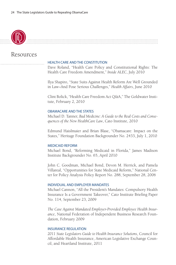

#### Resources

#### HEALTH CARE AND THE CONSTITUTION

Dave Roland, "Health Care Policy and Constitutional Rights: The Health Care Freedom Amendment," *Inside ALEC*, July 2010

Ilya Shapiro, "State Suits Against Health Reform Are Well Grounded in Law–And Pose Serious Challenges," *Health Affairs*, June 2010

Clint Bolick, "Health Care Freedom Act Q&A," The Goldwater Institute, February 2, 2010

#### OBAMACARE AND THE STATES

Michael D. Tanner, *Bad Medicine: A Guide to the Real Costs and Consequences of the New HealthCare Law*, Cato Institute, 2010

Edmund Haislmaier and Brian Blase, "Obamacare: Impact on the States," Heritage Foundation Backgrounder No. 2433, July 1, 2010

#### MEDICAID REFORM

Michael Bond, "Reforming Medicaid in Florida," James Madison Institute Backgrounder No. 65, April 2010

John C. Goodman, Michael Bond, Devon M. Herrick, and Pamela Villareal, "Opportunities for State Medicaid Reform," National Center for Policy Analysis Policy Report No. 288, September 28, 2006

#### INDIVIDUAL AND EMPLOYER MANDATES

Michael Cannon, "All the President's Mandates: Compulsory Health Insurance Is a Government Takeover," Cato Institute Briefing Paper No. 114, September 23, 2009

*The Case Against Mandated Employer-Provided Employee Health Insurance*, National Federation of Independent Business Research Foundation, February 2009

#### INSURANCE REGULATION

*2011 State Legislators Guide to Health Insurance Solutions*, Council for Affordable Health Insurance, American Legislative Exchange Council, and Heartland Institute, 2011